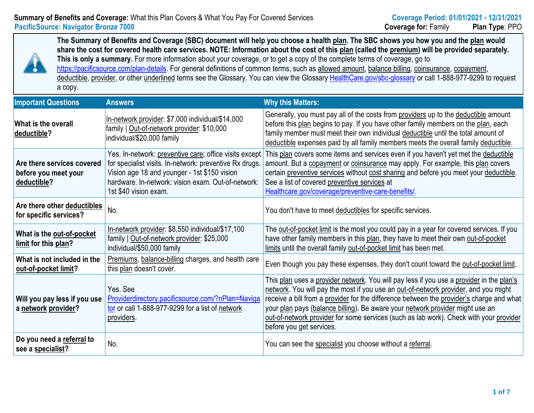## **Summary of Benefits and Coverage:** What this Plan Covers & What You Pay For Covered Services **Coverages Coverage PacificSource:** Navigator Bronze 7000 **Coverage formulation Family** *Coverage* **formulation** *Coverage*

The Summary of Benefits and Coverage (SBC) document will help you choose a health plan. The SBC shows you share the cost for covered health care services. NOTE: Information about the cost of this plan (called the premiu This is only a summary. For more information about your coverage, or to get a copy of the complete terms of coverage, https://pacificsource.com/plan-details</u>. For general definitions of common terms, such as allowed [amount,](https://www.healthcare.gov/coverage/preventive-care-benefits/) balance billing, deductible, provider, or other underlined terms see the Glossary. You can view the Glossary HealthCare.gov/sbc-glossar a copy.

| <b>Important Questions</b>                                        | <b>Answers</b>                                                                                                                                                                                                                                   | <b>Why this Matters:</b>                                                                                                                                                                                                                                                                                    |
|-------------------------------------------------------------------|--------------------------------------------------------------------------------------------------------------------------------------------------------------------------------------------------------------------------------------------------|-------------------------------------------------------------------------------------------------------------------------------------------------------------------------------------------------------------------------------------------------------------------------------------------------------------|
| What is the overall<br>deductible?                                | In-network provider: \$7,000 individual/\$14,000<br>family   Out-of-network provider: \$10,000<br>individual/\$20,000 family                                                                                                                     | Generally, you must pay all of the costs from provi<br>before this plan begins to pay. If you have other fa<br>family member must meet their own individual ded<br>deductible expenses paid by all family members m                                                                                         |
| Are there services covered<br>before you meet your<br>deductible? | Yes. In-network: preventive care; office visits except<br>for specialist visits. In-network: preventive Rx drugs.<br>Vision age 18 and younger - 1st \$150 vision<br>hardware. In-network: vision exam. Out-of-network:<br>1st \$40 vision exam. | This plan covers some items and services even if<br>amount. But a copayment or coinsurance may app<br>certain preventive services without cost sharing ar<br>See a list of covered preventive services at<br>Healthcare.gov/coverage/preventive-care-benefits                                               |
| Are there other deductibles<br>for specific services?             | No.                                                                                                                                                                                                                                              | You don't have to meet deductibles for specific set                                                                                                                                                                                                                                                         |
| What is the out-of-pocket<br>limit for this plan?                 | In-network provider: \$8,550 individual/\$17,100<br>family   Out-of-network provider: \$25,000<br>individual/\$50,000 family                                                                                                                     | The out-of-pocket limit is the most you could pay in<br>have other family members in this plan, they have<br>limits until the overall family out-of-pocket limit has                                                                                                                                        |
| What is not included in the<br>out-of-pocket limit?               | Premiums, balance-billing charges, and health care<br>this plan doesn't cover.                                                                                                                                                                   | Even though you pay these expenses, they don't of                                                                                                                                                                                                                                                           |
| Will you pay less if you use<br>a network provider?               | Yes, See<br>Providerdirectory.pacificsource.com/?nPlan=Naviga<br>tor or call 1-888-977-9299 for a list of network<br>providers.                                                                                                                  | This plan uses a provider network. You will pay les<br>network. You will pay the most if you use an out-of<br>receive a bill from a provider for the difference bet<br>your plan pays (balance billing). Be aware your ne<br>out-of-network provider for some services (such as<br>before you get services. |
| Do you need a referral to<br>see a specialist?                    | No.                                                                                                                                                                                                                                              | You can see the specialist you choose without a re                                                                                                                                                                                                                                                          |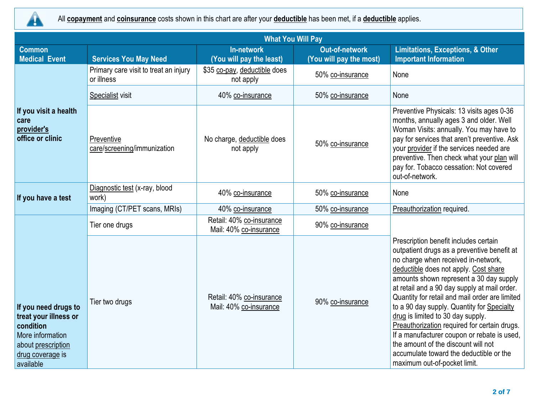

All **copayment** and **coinsurance** costs shown in this chart are after your **deductible** has been met, if a **deductible** applies.

| <b>What You Will Pay</b>                                                                                                              |                                                     |                                                    |                                                  |                                                                                                                                                                                                                                                                                                                                                                                                                                                                                                                                                                                                                       |  |  |
|---------------------------------------------------------------------------------------------------------------------------------------|-----------------------------------------------------|----------------------------------------------------|--------------------------------------------------|-----------------------------------------------------------------------------------------------------------------------------------------------------------------------------------------------------------------------------------------------------------------------------------------------------------------------------------------------------------------------------------------------------------------------------------------------------------------------------------------------------------------------------------------------------------------------------------------------------------------------|--|--|
| Common<br><b>Medical Event</b>                                                                                                        | <b>Services You May Need</b>                        | <b>In-network</b><br>(You will pay the least)      | <b>Out-of-network</b><br>(You will pay the most) | <b>Limitations, Exceptions, &amp; Other</b><br><b>Important Information</b>                                                                                                                                                                                                                                                                                                                                                                                                                                                                                                                                           |  |  |
|                                                                                                                                       | Primary care visit to treat an injury<br>or illness | \$35 co-pay, deductible does<br>not apply          | 50% co-insurance                                 | None                                                                                                                                                                                                                                                                                                                                                                                                                                                                                                                                                                                                                  |  |  |
|                                                                                                                                       | Specialist visit                                    | 40% co-insurance                                   | 50% co-insurance                                 | None                                                                                                                                                                                                                                                                                                                                                                                                                                                                                                                                                                                                                  |  |  |
| If you visit a health<br>care<br>provider's<br>office or clinic                                                                       | Preventive<br>care/screening/immunization           | No charge, deductible does<br>not apply            | 50% co-insurance                                 | Preventive Physicals: 13 visits ages 0-36<br>months, annually ages 3 and older. Well<br>Woman Visits: annually. You may have to<br>pay for services that aren't preventive. Ask<br>your provider if the services needed are<br>preventive. Then check what your plan will<br>pay for. Tobacco cessation: Not covered<br>out-of-network.                                                                                                                                                                                                                                                                               |  |  |
| If you have a test                                                                                                                    | Diagnostic test (x-ray, blood<br>work)              | 40% co-insurance                                   | 50% co-insurance                                 | None                                                                                                                                                                                                                                                                                                                                                                                                                                                                                                                                                                                                                  |  |  |
|                                                                                                                                       | Imaging (CT/PET scans, MRIs)                        | 40% co-insurance                                   | 50% co-insurance                                 | Preauthorization required.                                                                                                                                                                                                                                                                                                                                                                                                                                                                                                                                                                                            |  |  |
|                                                                                                                                       | Tier one drugs                                      | Retail: 40% co-insurance<br>Mail: 40% co-insurance | 90% co-insurance                                 |                                                                                                                                                                                                                                                                                                                                                                                                                                                                                                                                                                                                                       |  |  |
| If you need drugs to<br>treat your illness or<br>condition<br>More information<br>about prescription<br>drug coverage is<br>available | Tier two drugs                                      | Retail: 40% co-insurance<br>Mail: 40% co-insurance | 90% co-insurance                                 | Prescription benefit includes certain<br>outpatient drugs as a preventive benefit at<br>no charge when received in-network,<br>deductible does not apply. Cost share<br>amounts shown represent a 30 day supply<br>at retail and a 90 day supply at mail order.<br>Quantity for retail and mail order are limited<br>to a 90 day supply. Quantity for Specialty<br>drug is limited to 30 day supply.<br>Preauthorization required for certain drugs.<br>If a manufacturer coupon or rebate is used,<br>the amount of the discount will not<br>accumulate toward the deductible or the<br>maximum out-of-pocket limit. |  |  |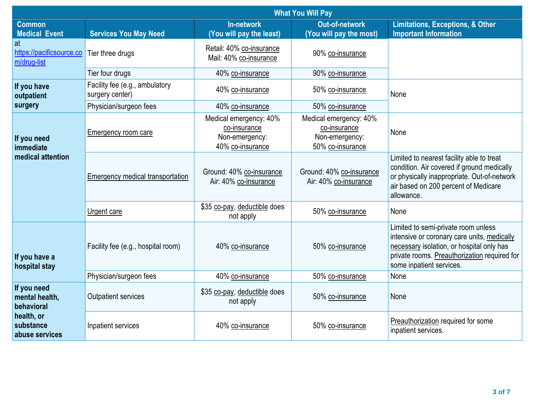|                                               | <b>What You Will Pay</b>                          |                                                                              |                                                                              |                                                       |  |
|-----------------------------------------------|---------------------------------------------------|------------------------------------------------------------------------------|------------------------------------------------------------------------------|-------------------------------------------------------|--|
| <b>Common</b><br><b>Medical Event</b>         | <b>Services You May Need</b>                      | <b>In-network</b><br>(You will pay the least)                                | <b>Out-of-network</b><br>(You will pay the most)                             | Limita<br>Import                                      |  |
| at<br>https://pacificsource.co<br>m/drug-list | Tier three drugs                                  | Retail: 40% co-insurance<br>Mail: 40% co-insurance                           | 90% co-insurance                                                             |                                                       |  |
|                                               | Tier four drugs                                   | 40% co-insurance                                                             | 90% co-insurance                                                             |                                                       |  |
| If you have<br>outpatient                     | Facility fee (e.g., ambulatory<br>surgery center) | 40% co-insurance                                                             | 50% co-insurance                                                             | None                                                  |  |
| surgery                                       | Physician/surgeon fees                            | 40% co-insurance                                                             | 50% co-insurance                                                             |                                                       |  |
| If you need<br>immediate                      | <b>Emergency room care</b>                        | Medical emergency: 40%<br>co-insurance<br>Non-emergency:<br>40% co-insurance | Medical emergency: 40%<br>co-insurance<br>Non-emergency:<br>50% co-insurance | None                                                  |  |
| medical attention                             | Emergency medical transportation                  | Ground: 40% co-insurance<br>Air: 40% co-insurance                            | Ground: 40% co-insurance<br>Air: 40% co-insurance                            | Limited<br>conditio<br>or phys<br>air base<br>allowan |  |
|                                               | Urgent care                                       | \$35 co-pay, deductible does<br>not apply                                    | 50% co-insurance                                                             | None                                                  |  |
| If you have a<br>hospital stay                | Facility fee (e.g., hospital room)                | 40% co-insurance                                                             | 50% co-insurance                                                             | Limited<br>intensiv<br>necessa<br>private<br>some in  |  |
|                                               | Physician/surgeon fees                            | 40% co-insurance                                                             | 50% co-insurance                                                             | None                                                  |  |
| If you need<br>mental health,<br>behavioral   | <b>Outpatient services</b>                        | \$35 co-pay, deductible does<br>not apply                                    | 50% co-insurance                                                             | None                                                  |  |
| health, or<br>substance<br>abuse services     | Inpatient services                                | 40% co-insurance                                                             | 50% co-insurance                                                             | Preauth<br>inpatier                                   |  |
|                                               |                                                   |                                                                              |                                                                              |                                                       |  |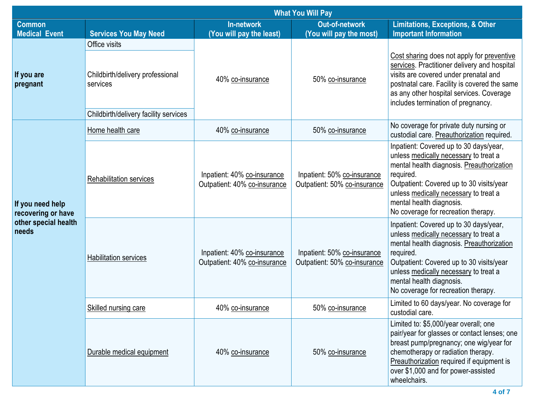| <b>What You Will Pay</b>                                                |                                              |                                                             |                                                             |                                                                                                                                                                                                                                                                                                   |  |  |
|-------------------------------------------------------------------------|----------------------------------------------|-------------------------------------------------------------|-------------------------------------------------------------|---------------------------------------------------------------------------------------------------------------------------------------------------------------------------------------------------------------------------------------------------------------------------------------------------|--|--|
| <b>Common</b><br><b>Medical Event</b>                                   | <b>Services You May Need</b>                 | <b>In-network</b><br>(You will pay the least)               | <b>Out-of-network</b><br>(You will pay the most)            | <b>Limitations, Exceptions, &amp; Other</b><br><b>Important Information</b>                                                                                                                                                                                                                       |  |  |
|                                                                         | Office visits                                |                                                             |                                                             |                                                                                                                                                                                                                                                                                                   |  |  |
| If you are<br>pregnant                                                  | Childbirth/delivery professional<br>services | 40% co-insurance                                            | 50% co-insurance                                            | Cost sharing does not apply for preventive<br>services. Practitioner delivery and hospital<br>visits are covered under prenatal and<br>postnatal care. Facility is covered the same<br>as any other hospital services. Coverage<br>includes termination of pregnancy.                             |  |  |
|                                                                         | Childbirth/delivery facility services        |                                                             |                                                             |                                                                                                                                                                                                                                                                                                   |  |  |
|                                                                         | Home health care                             | 40% co-insurance                                            | 50% co-insurance                                            | No coverage for private duty nursing or<br>custodial care. Preauthorization required.                                                                                                                                                                                                             |  |  |
| If you need help<br>recovering or have<br>other special health<br>needs | Rehabilitation services                      | Inpatient: 40% co-insurance<br>Outpatient: 40% co-insurance | Inpatient: 50% co-insurance<br>Outpatient: 50% co-insurance | Inpatient: Covered up to 30 days/year,<br>unless medically necessary to treat a<br>mental health diagnosis. Preauthorization<br>required.<br>Outpatient: Covered up to 30 visits/year<br>unless medically necessary to treat a<br>mental health diagnosis.<br>No coverage for recreation therapy. |  |  |
|                                                                         | Habilitation services                        | Inpatient: 40% co-insurance<br>Outpatient: 40% co-insurance | Inpatient: 50% co-insurance<br>Outpatient: 50% co-insurance | Inpatient: Covered up to 30 days/year,<br>unless medically necessary to treat a<br>mental health diagnosis. Preauthorization<br>required.<br>Outpatient: Covered up to 30 visits/year<br>unless medically necessary to treat a<br>mental health diagnosis.<br>No coverage for recreation therapy. |  |  |
|                                                                         | Skilled nursing care                         | 40% co-insurance                                            | 50% co-insurance                                            | Limited to 60 days/year. No coverage for<br>custodial care.                                                                                                                                                                                                                                       |  |  |
|                                                                         | Durable medical equipment                    | 40% co-insurance                                            | 50% co-insurance                                            | Limited to: \$5,000/year overall; one<br>pair/year for glasses or contact lenses; one<br>breast pump/pregnancy; one wig/year for<br>chemotherapy or radiation therapy.<br>Preauthorization required if equipment is<br>over \$1,000 and for power-assisted<br>wheelchairs.                        |  |  |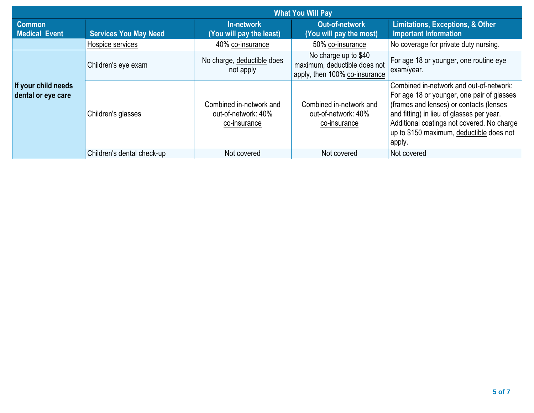| <b>What You Will Pay</b>                  |                              |                                                                |                                                                                       |                                                                                                                                                                                                                                                                                   |  |  |
|-------------------------------------------|------------------------------|----------------------------------------------------------------|---------------------------------------------------------------------------------------|-----------------------------------------------------------------------------------------------------------------------------------------------------------------------------------------------------------------------------------------------------------------------------------|--|--|
| <b>Common</b><br><b>Medical Event</b>     | <b>Services You May Need</b> | In-network<br>(You will pay the least)                         | Out-of-network<br>(You will pay the most)                                             | <b>Limitations, Exceptions, &amp; Other</b><br><b>Important Information</b>                                                                                                                                                                                                       |  |  |
|                                           | Hospice services             | 40% co-insurance                                               | 50% co-insurance                                                                      | No coverage for private duty nursing.                                                                                                                                                                                                                                             |  |  |
| If your child needs<br>dental or eye care | Children's eye exam          | No charge, deductible does<br>not apply                        | No charge up to \$40<br>maximum, deductible does not<br>apply, then 100% co-insurance | For age 18 or younger, one routine eye<br>exam/year.                                                                                                                                                                                                                              |  |  |
|                                           | Children's glasses           | Combined in-network and<br>out-of-network: 40%<br>co-insurance | Combined in-network and<br>out-of-network: 40%<br>co-insurance                        | Combined in-network and out-of-network:<br>For age 18 or younger, one pair of glasses<br>(frames and lenses) or contacts (lenses<br>and fitting) in lieu of glasses per year.<br>Additional coatings not covered. No charge<br>up to \$150 maximum, deductible does not<br>apply. |  |  |
|                                           | Children's dental check-up   | Not covered                                                    | Not covered                                                                           | Not covered                                                                                                                                                                                                                                                                       |  |  |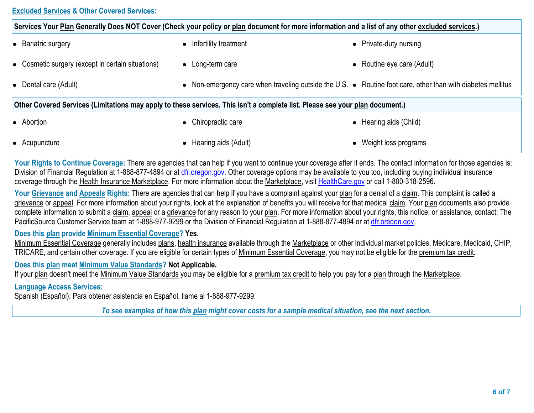## **Excluded Services & Other Covered Services:**

|                                                   | Services Your Plan Generally Does NOT Cover (Check your policy or plan document for more information and a list of any othe  |                            |
|---------------------------------------------------|------------------------------------------------------------------------------------------------------------------------------|----------------------------|
| • Bariatric surgery                               | • Infertility treatment                                                                                                      | • Private-duty nurs        |
| • Cosmetic surgery (except in certain situations) | $\bullet$ Long-term care                                                                                                     | $\bullet$ Routine eye care |
| • Dental care (Adult)                             | • Non-emergency care when traveling outside the U.S. • Routine foot care                                                     |                            |
|                                                   | Other Covered Services (Limitations may apply to these services. This isn't a complete list. Please see your plan document.) |                            |
| • Abortion                                        | • Chiropractic care                                                                                                          | • Hearing aids (Chi        |
|                                                   |                                                                                                                              |                            |

**Your Rights to Continue Coverage:** There are agencies that can help if you want to continue your coverage after it ends. The contact Division of Financial Regulation at 1-888-877-4894 or at dfr.oregon.gov. Other coverage options may be available to you too, including coverage through the Health Insurance Marketplace. For more information about the Marketplace, visit HealthCare.gov or call 1-800-31

• Acupuncture l **Acupuncture** l Hearing aids (Adult) **and Acupuncture** l Weight loss programs and a Mearing aids (Adult)

Your Grievance and Appeals Rights: There are agencies that can help if you have a complaint against your plan for a denial of a clai grievance or appeal. For more information about your rights, look at the explanation of benefits you will receive for that medical claim. Y complete information to submit a claim, appeal or a grievance for any reason to your plan. For more information about your rights, this r PacificSource Customer Service team at 1-888-977-9299 or the Division of Financial Regulation at 1-888-877-4894 or at dfr.oregon.gov

## **Does this plan provide Minimum Essential Coverage? Yes.**

Minimum Essential Coverage generally includes plans, health insurance available through the Marketplace or other individual market po TRICARE, and certain other coverage. If you are eligible for certain types of Minimum Essential Coverage, you may not be eligible for the

**Does this plan meet Minimum Value Standards? Not Applicable.**

If your plan doesn't meet the Minimum Value Standards you may be eligible for a premium tax credit to help you pay for a plan through

**Language Access Services:**

Spanish (Español): Para obtener asistencia en Español, llame al 1-888-977-9299.

To see examples of how this plan might cover costs for a sample medical situation, see the next se